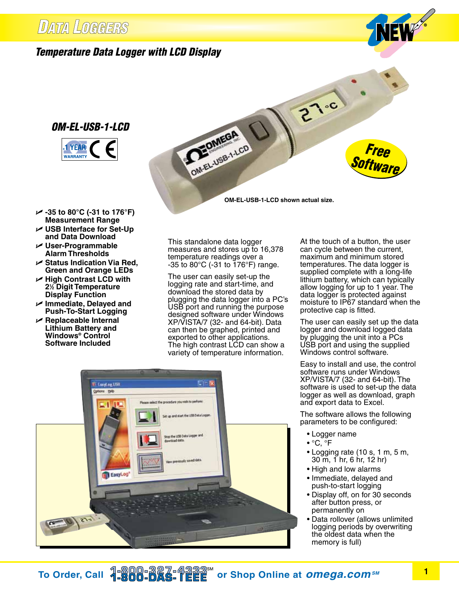## **DATA LOGGERS**

## *Temperature Data Logger with LCD Display*

### *OM-EL-USB-1-LCD*



*Free Software*

**OM-EL-USB-1-LCD shown actual size.**

 $27-c$ 

- U **-35 to 80°C (-31 to 176°F) Measurement Range**
- U **USB Interface for Set-Up and Data Download**
- U **User-Programmable Alarm Thresholds**
- U **Status Indication Via Red, Green and Orange LEDs**
- U **High Contrast LCD with 21 ⁄2 Digit Temperature Display Function**
- U **Immediate, Delayed and Push-To-Start Logging**
- U **Replaceable Internal Lithium Battery and Windows® Control Software Included**

This standalone data logger measures and stores up to 16,378 temperature readings over a  $-35$  to 80 $^{\circ}$ C ( $-31$  to 176 $^{\circ}$ F) range.

OMELJUSB-1-LCD

The user can easily set-up the logging rate and start-time, and download the stored data by plugging the data logger into a PC's USB port and running the purpose designed software under Windows XP/VISTA/7 (32- and 64-bit). Data can then be graphed, printed and exported to other applications. The high contrast LCD can show a variety of temperature information.

At the touch of a button, the user can cycle between the current, maximum and minimum stored temperatures. The data logger is supplied complete with a long-life lithium battery, which can typically allow logging for up to 1 year. The data logger is protected against moisture to IP67 standard when the protective cap is fitted.

The user can easily set up the data logger and download logged data by plugging the unit into a PCs USB port and using the supplied Windows control software.

Easy to install and use, the control software runs under Windows XP/VISTA/7 (32- and 64-bit). The software is used to set-up the data logger as well as download, graph and export data to Excel.

The software allows the following parameters to be configured:

- Logger name
- °C, °F
- Logging rate (10 s, 1 m, 5 m, 30 m, 1 hr, 6 hr, 12 hr)
- High and low alarms
- Immediate, delayed and push-to-start logging
- Display off, on for 30 seconds after button press, or permanently on
- Data rollover (allows unlimited logging periods by overwriting the oldest data when the memory is full)